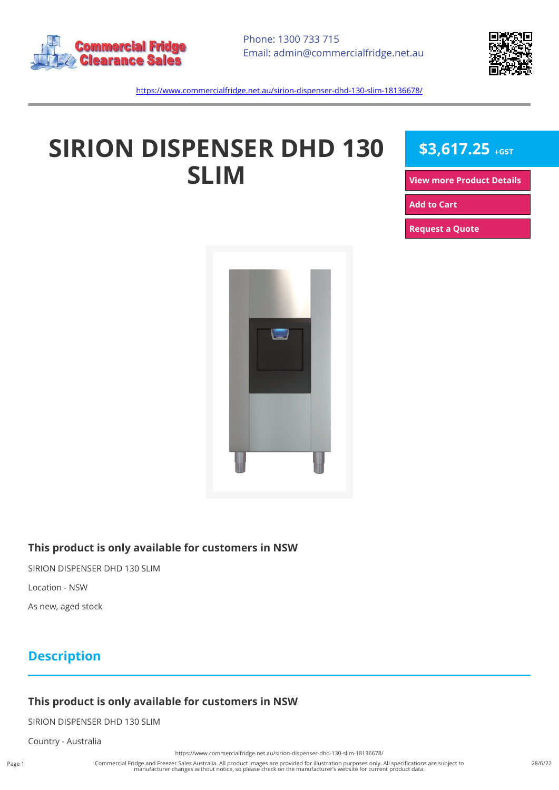



<https://www.commercialfridge.net.au/sirion-dispenser-dhd-130-slim-18136678/>

# **SIRION DISPENSER DHD 130 SLIM**

**\$3,617.25 +GST**

**[View more Product Details](https://www.commercialfridge.net.au/sirion-dispenser-dhd-130-slim-18136678/)**

**[Add to Cart](https://www.commercialfridge.net.au/sirion-dispenser-dhd-130-slim-18136678/?addtocart=1)** 

**[Request a Quote](https://www.commercialfridge.net.au/sirion-dispenser-dhd-130-slim-18136678/?requestaquote=1)** 



#### **This product is only available for customers in NSW**

SIRION DISPENSER DHD 130 SLIM

Location - NSW

As new, aged stock

### **Description**

#### **This product is only available for customers in NSW**

SIRION DISPENSER DHD 130 SLIM

Country - Australia